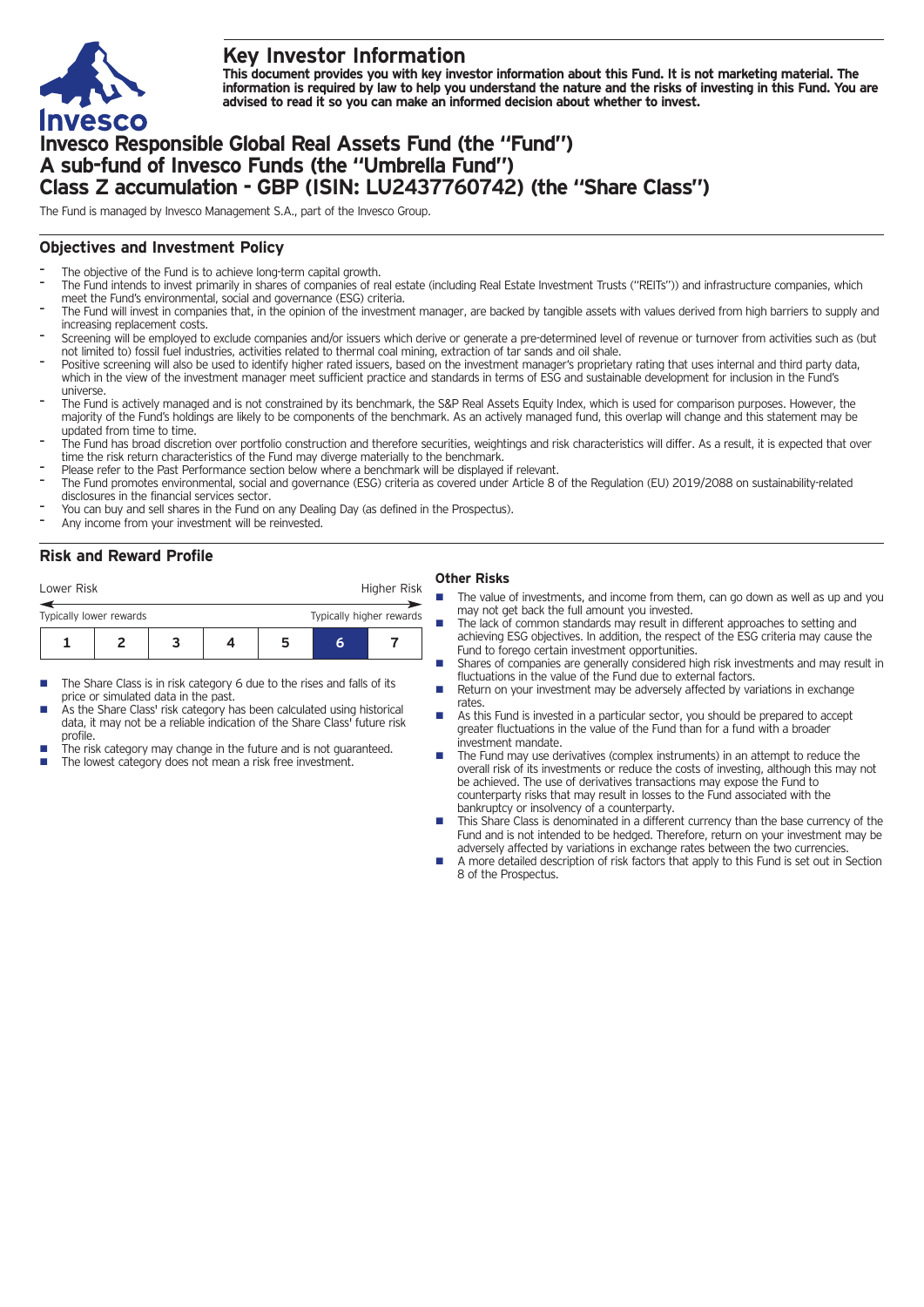

## **Key Investor Information**

This document provides you with key investor information about this Fund. It is not marketing material. The information is required by law to help you understand the nature and the risks of investing in this Fund. You are **advised to read it so you can make an informed decision about whether to invest.**

# **Invesco Responsible Global Real Assets Fund (the "Fund") A sub-fund of Invesco Funds (the "Umbrella Fund") Class Z accumulation - GBP (ISIN: LU2437760742) (the "Share Class")**

The Fund is managed by Invesco Management S.A., part of the Invesco Group.

### **Objectives and Investment Policy**

- The objective of the Fund is to achieve long-term capital growth.
- The Fund intends to invest primarily in shares of companies of real estate (including Real Estate Investment Trusts ("REITs")) and infrastructure companies, which meet the Fund's environmental, social and governance (ESG) criteria.
- The Fund will invest in companies that, in the opinion of the investment manager, are backed by tangible assets with values derived from high barriers to supply and increasing replacement costs.
- Screening will be employed to exclude companies and/or issuers which derive or generate <sup>a</sup> pre-determined level of revenue or turnover from activities such as (but not limited to) fossil fuel industries, activities related to thermal coal mining, extraction of tar sands and oil shale.
- Positive screening will also be used to identify higher rated issuers, based on the investment manager's proprietary rating that uses internal and third party data, which in the view of the investment manager meet sufficient practice and standards in terms of ESG and sustainable development for inclusion in the Fund's universe.
- The Fund is actively managed and is not constrained by its benchmark, the S&P Real Assets Equity Index, which is used for comparison purposes. However, the majority of the Fund's holdings are likely to be components of the benchmark. As an actively managed fund, this overlap will change and this statement may be updated from time to time.
- The Fund has broad discretion over portfolio construction and therefore securities, weightings and risk characteristics will differ. As a result, it is expected that over time the risk return characteristics of the Fund may diverge materially to the benchmark.
- Please refer to the Past Performance section below where a benchmark will be displayed if relevant.
- The Fund promotes environmental, social and governance (ESG) criteria as covered under Article 8 of the Regulation (EU) 2019/2088 on sustainability-related disclosures in the financial services sector.
- You can buy and sell shares in the Fund on any Dealing Day (as defined in the Prospectus).
- Any income from your investment will be reinvested.

## **Risk and Reward Profile**

| Lower Risk              |  |  | Higher Risk |  |                          |  |  |
|-------------------------|--|--|-------------|--|--------------------------|--|--|
| Typically lower rewards |  |  |             |  | Typically higher rewards |  |  |
|                         |  |  |             |  | h                        |  |  |

- The Share Class is in risk category 6 due to the rises and falls of its price or simulated data in the past.
- As the Share Class' risk category has been calculated using historical data, it may not be a reliable indication of the Share Class' future risk profile.
- The risk category may change in the future and is not guaranteed.
- The lowest category does not mean a risk free investment.

#### **Other Risks**

- The value of investments, and income from them, can go down as well as up and you may not get back the full amount you invested.
- The lack of common standards may result in different approaches to setting and achieving ESG objectives. In addition, the respect of the ESG criteria may cause the Fund to forego certain investment opportunities.
- **n** Shares of companies are generally considered high risk investments and may result in fluctuations in the value of the Fund due to external factors.
- Return on your investment may be adversely affected by variations in exchange rates.
- **n** As this Fund is invested in a particular sector, you should be prepared to accept greater fluctuations in the value of the Fund than for a fund with a broader investment mandate.
- The Fund may use derivatives (complex instruments) in an attempt to reduce the overall risk of its investments or reduce the costs of investing, although this may not be achieved. The use of derivatives transactions may expose the Fund to counterparty risks that may result in losses to the Fund associated with the bankruptcy or insolvency of a counterparty.
- This Share Class is denominated in a different currency than the base currency of the Fund and is not intended to be hedged. Therefore, return on your investment may be adversely affected by variations in exchange rates between the two currencies.
- n A more detailed description of risk factors that apply to this Fund is set out in Section 8 of the Prospectus.